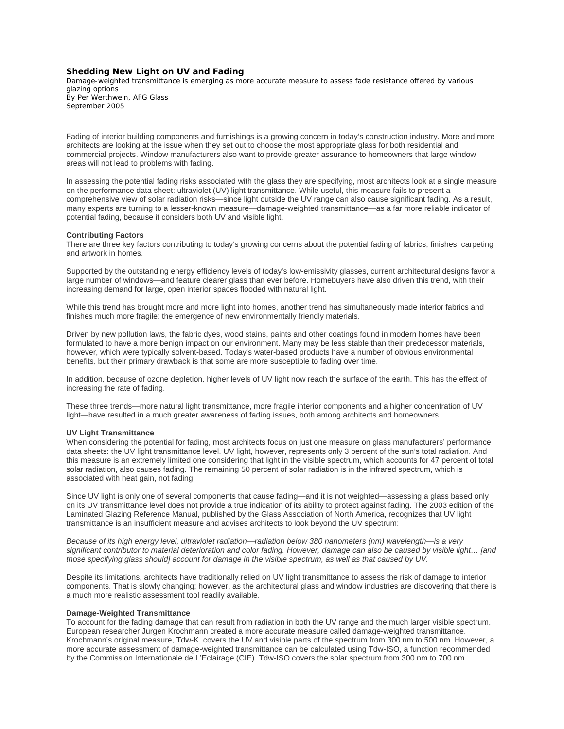# **Shedding New Light on UV and Fading**

Damage-weighted transmittance is emerging as more accurate measure to assess fade resistance offered by various glazing options By Per Werthwein, AFG Glass *September 2005*

Fading of interior building components and furnishings is a growing concern in today's construction industry. More and more architects are looking at the issue when they set out to choose the most appropriate glass for both residential and commercial projects. Window manufacturers also want to provide greater assurance to homeowners that large window areas will not lead to problems with fading.

In assessing the potential fading risks associated with the glass they are specifying, most architects look at a single measure on the performance data sheet: ultraviolet (UV) light transmittance. While useful, this measure fails to present a comprehensive view of solar radiation risks—since light outside the UV range can also cause significant fading. As a result, many experts are turning to a lesser-known measure—damage-weighted transmittance—as a far more reliable indicator of potential fading, because it considers both UV and visible light.

### **Contributing Factors**

There are three key factors contributing to today's growing concerns about the potential fading of fabrics, finishes, carpeting and artwork in homes.

Supported by the outstanding energy efficiency levels of today's low-emissivity glasses, current architectural designs favor a large number of windows—and feature clearer glass than ever before. Homebuyers have also driven this trend, with their increasing demand for large, open interior spaces flooded with natural light.

While this trend has brought more and more light into homes, another trend has simultaneously made interior fabrics and finishes much more fragile: the emergence of new environmentally friendly materials.

Driven by new pollution laws, the fabric dyes, wood stains, paints and other coatings found in modern homes have been formulated to have a more benign impact on our environment. Many may be less stable than their predecessor materials, however, which were typically solvent-based. Today's water-based products have a number of obvious environmental benefits, but their primary drawback is that some are more susceptible to fading over time.

In addition, because of ozone depletion, higher levels of UV light now reach the surface of the earth. This has the effect of increasing the rate of fading.

These three trends—more natural light transmittance, more fragile interior components and a higher concentration of UV light—have resulted in a much greater awareness of fading issues, both among architects and homeowners.

#### **UV Light Transmittance**

When considering the potential for fading, most architects focus on just one measure on glass manufacturers' performance data sheets: the UV light transmittance level. UV light, however, represents only 3 percent of the sun's total radiation. And this measure is an extremely limited one considering that light in the visible spectrum, which accounts for 47 percent of total solar radiation, also causes fading. The remaining 50 percent of solar radiation is in the infrared spectrum, which is associated with heat gain, not fading.

Since UV light is only one of several components that cause fading—and it is not weighted—assessing a glass based only on its UV transmittance level does not provide a true indication of its ability to protect against fading. The 2003 edition of the Laminated Glazing Reference Manual, published by the Glass Association of North America, recognizes that UV light transmittance is an insufficient measure and advises architects to look beyond the UV spectrum:

*Because of its high energy level, ultraviolet radiation—radiation below 380 nanometers (nm) wavelength—is a very significant contributor to material deterioration and color fading. However, damage can also be caused by visible light… [and those specifying glass should] account for damage in the visible spectrum, as well as that caused by UV.*

Despite its limitations, architects have traditionally relied on UV light transmittance to assess the risk of damage to interior components. That is slowly changing; however, as the architectural glass and window industries are discovering that there is a much more realistic assessment tool readily available.

### **Damage-Weighted Transmittance**

To account for the fading damage that can result from radiation in both the UV range and the much larger visible spectrum, European researcher Jurgen Krochmann created a more accurate measure called damage-weighted transmittance. Krochmann's original measure, Tdw-K, covers the UV and visible parts of the spectrum from 300 nm to 500 nm. However, a more accurate assessment of damage-weighted transmittance can be calculated using Tdw-ISO, a function recommended by the Commission Internationale de L'Eclairage (CIE). Tdw-ISO covers the solar spectrum from 300 nm to 700 nm.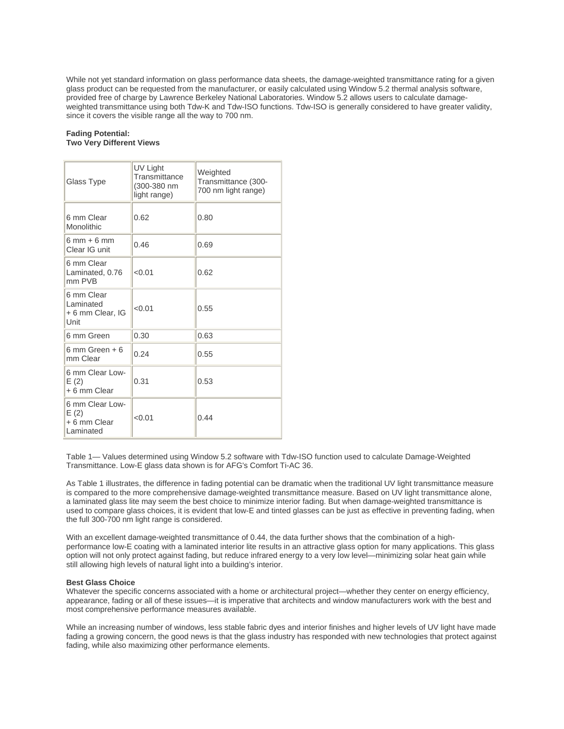While not yet standard information on glass performance data sheets, the damage-weighted transmittance rating for a given glass product can be requested from the manufacturer, or easily calculated using Window 5.2 thermal analysis software, provided free of charge by Lawrence Berkeley National Laboratories. Window 5.2 allows users to calculate damageweighted transmittance using both Tdw-K and Tdw-ISO functions. Tdw-ISO is generally considered to have greater validity, since it covers the visible range all the way to 700 nm.

#### **Fading Potential: Two Very Different Views**

| Glass Type                                           | UV Light<br>Transmittance<br>(300-380 nm<br>light range) | Weighted<br>Transmittance (300-<br>700 nm light range) |
|------------------------------------------------------|----------------------------------------------------------|--------------------------------------------------------|
| 6 mm Clear<br>Monolithic                             | 0.62                                                     | 0.80                                                   |
| $6 \text{ mm} + 6 \text{ mm}$<br>Clear IG unit       | 0.46                                                     | 0.69                                                   |
| 6 mm Clear<br>Laminated, 0.76<br>mm PVB              | < 0.01                                                   | 0.62                                                   |
| 6 mm Clear<br>Laminated<br>+6 mm Clear, IG<br>Unit   | < 0.01                                                   | 0.55                                                   |
| 6 mm Green                                           | 0.30                                                     | 0.63                                                   |
| $6 \text{ mm}$ Green + $6$<br>mm Clear               | 0.24                                                     | 0.55                                                   |
| 6 mm Clear Low-<br>E(2)<br>+ 6 mm Clear              | 0.31                                                     | 0.53                                                   |
| 6 mm Clear Low-<br>E(2)<br>+ 6 mm Clear<br>Laminated | < 0.01                                                   | 0.44                                                   |

Table 1— Values determined using Window 5.2 software with Tdw-ISO function used to calculate Damage-Weighted Transmittance. Low-E glass data shown is for AFG's Comfort Ti-AC 36.

As Table 1 illustrates, the difference in fading potential can be dramatic when the traditional UV light transmittance measure is compared to the more comprehensive damage-weighted transmittance measure. Based on UV light transmittance alone, a laminated glass lite may seem the best choice to minimize interior fading. But when damage-weighted transmittance is used to compare glass choices, it is evident that low-E and tinted glasses can be just as effective in preventing fading, when the full 300-700 nm light range is considered.

With an excellent damage-weighted transmittance of 0.44, the data further shows that the combination of a highperformance low-E coating with a laminated interior lite results in an attractive glass option for many applications. This glass option will not only protect against fading, but reduce infrared energy to a very low level—minimizing solar heat gain while still allowing high levels of natural light into a building's interior.

## **Best Glass Choice**

Whatever the specific concerns associated with a home or architectural project—whether they center on energy efficiency, appearance, fading or all of these issues—it is imperative that architects and window manufacturers work with the best and most comprehensive performance measures available.

While an increasing number of windows, less stable fabric dyes and interior finishes and higher levels of UV light have made fading a growing concern, the good news is that the glass industry has responded with new technologies that protect against fading, while also maximizing other performance elements.